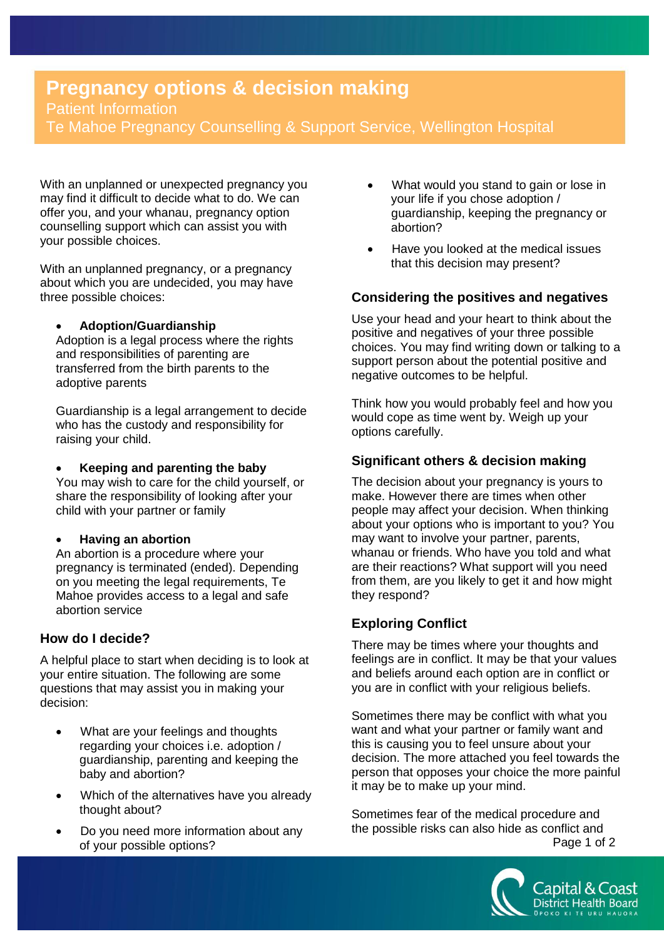# **Pregnancy options & decision making**  Patient Information Te Mahoe Pregnancy Counselling & Support Service, Wellington Hospital

With an unplanned or unexpected pregnancy you may find it difficult to decide what to do. We can offer you, and your whanau, pregnancy option counselling support which can assist you with your possible choices.

With an unplanned pregnancy, or a pregnancy about which you are undecided, you may have three possible choices:

### **Adoption/Guardianship**

Adoption is a legal process where the rights and responsibilities of parenting are transferred from the birth parents to the adoptive parents

Guardianship is a legal arrangement to decide who has the custody and responsibility for raising your child.

### **Keeping and parenting the baby**

You may wish to care for the child yourself, or share the responsibility of looking after your child with your partner or family

#### **Having an abortion**

An abortion is a procedure where your pregnancy is terminated (ended). Depending on you meeting the legal requirements, Te Mahoe provides access to a legal and safe abortion service

## **How do I decide?**

A helpful place to start when deciding is to look at your entire situation. The following are some questions that may assist you in making your decision:

- What are your feelings and thoughts regarding your choices i.e. adoption / guardianship, parenting and keeping the baby and abortion?
- Which of the alternatives have you already thought about?
- Do you need more information about any of your possible options?
- What would you stand to gain or lose in your life if you chose adoption / guardianship, keeping the pregnancy or abortion?
- Have you looked at the medical issues that this decision may present?

# **Considering the positives and negatives**

Use your head and your heart to think about the positive and negatives of your three possible choices. You may find writing down or talking to a support person about the potential positive and negative outcomes to be helpful.

Think how you would probably feel and how you would cope as time went by. Weigh up your options carefully.

# **Significant others & decision making**

The decision about your pregnancy is yours to make. However there are times when other people may affect your decision. When thinking about your options who is important to you? You may want to involve your partner, parents, whanau or friends. Who have you told and what are their reactions? What support will you need from them, are you likely to get it and how might they respond?

# **Exploring Conflict**

There may be times where your thoughts and feelings are in conflict. It may be that your values and beliefs around each option are in conflict or you are in conflict with your religious beliefs.

Sometimes there may be conflict with what you want and what your partner or family want and this is causing you to feel unsure about your decision. The more attached you feel towards the person that opposes your choice the more painful it may be to make up your mind.

Sometimes fear of the medical procedure and the possible risks can also hide as conflict and Page 1 of 2